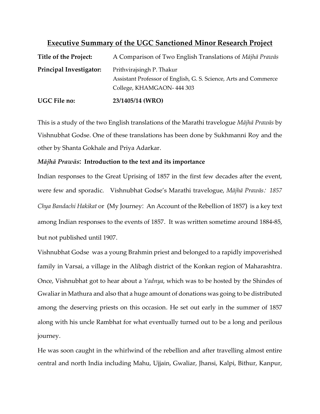# **Executive Summary of the UGC Sanctioned Minor Research Project**

| <b>UGC File no:</b>            | 23/1405/14 (WRO)                                                 |
|--------------------------------|------------------------------------------------------------------|
|                                | College, KHAMGAON-444 303                                        |
|                                | Assistant Professor of English, G. S. Science, Arts and Commerce |
| <b>Principal Investigator:</b> | Prithvirajsingh P. Thakur                                        |
| Title of the Project:          | A Comparison of Two English Translations of <i>Mājhā Prawās</i>  |

This is a study of the two English translations of the Marathi travelogue *Mājhā Prawās* by Vishnubhat Godse. One of these translations has been done by Sukhmanni Roy and the other by Shanta Gokhale and Priya Adarkar.

# *Mājhā Prawās***: Introduction to the text and its importance**

Indian responses to the Great Uprising of 1857 in the first few decades after the event, were few and sporadic. Vishnubhat Godse's Marathi travelogue, *Mājhā Prawās*: *1857 Chya Bandachi Hakikat* or (My Journey: An Account of the Rebellion of 1857) is a key text among Indian responses to the events of 1857. It was written sometime around 1884-85, but not published until 1907.

Vishnubhat Godse was a young Brahmin priest and belonged to a rapidly impoverished family in Varsai, a village in the Alibagh district of the Konkan region of Maharashtra. Once, Vishnubhat got to hear about a *Yadnya*, which was to be hosted by the Shindes of Gwaliar in Mathura and also that a huge amount of donations was going to be distributed among the deserving priests on this occasion. He set out early in the summer of 1857 along with his uncle Rambhat for what eventually turned out to be a long and perilous journey.

He was soon caught in the whirlwind of the rebellion and after travelling almost entire central and north India including Mahu, Ujjain, Gwaliar, Jhansi, Kalpi, Bithur, Kanpur,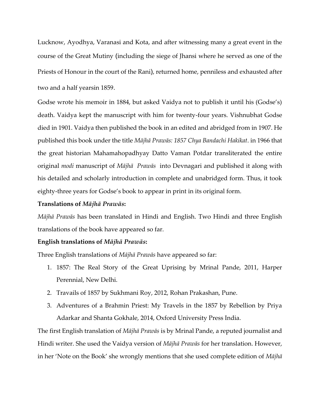Lucknow, Ayodhya, Varanasi and Kota, and after witnessing many a great event in the course of the Great Mutiny (including the siege of Jhansi where he served as one of the Priests of Honour in the court of the Rani), returned home, penniless and exhausted after two and a half yearsin 1859.

Godse wrote his memoir in 1884, but asked Vaidya not to publish it until his (Godse's) death. Vaidya kept the manuscript with him for twenty-four years. Vishnubhat Godse died in 1901. Vaidya then published the book in an edited and abridged from in 1907. He published this book under the title *Mājhā Prawās: 1857 Chya Bandachi Hakikat*. in 1966 that the great historian Mahamahopadhyay Datto Vaman Potdar transliterated the entire original *modi* manuscript of *Mājhā Prawās* into Devnagari and published it along with his detailed and scholarly introduction in complete and unabridged form. Thus, it took eighty-three years for Godse's book to appear in print in its original form.

# **Translations of** *Mājhā Prawās***:**

*Mājhā Prawās* has been translated in Hindi and English. Two Hindi and three English translations of the book have appeared so far.

# **English translations of** *Mājhā Prawās***:**

Three English translations of *Mājhā Prawās* have appeared so far:

- 1. 1857: The Real Story of the Great Uprising by Mrinal Pande, 2011, Harper Perennial, New Delhi.
- 2. Travails of 1857 by Sukhmani Roy, 2012, Rohan Prakashan, Pune.
- 3. Adventures of a Brahmin Priest: My Travels in the 1857 by Rebellion by Priya Adarkar and Shanta Gokhale, 2014, Oxford University Press India.

The first English translation of *Mājhā Prawās* is by Mrinal Pande, a reputed journalist and Hindi writer. She used the Vaidya version of *Mājhā Prawās* for her translation. However, in her 'Note on the Book' she wrongly mentions that she used complete edition of *Mājhā*